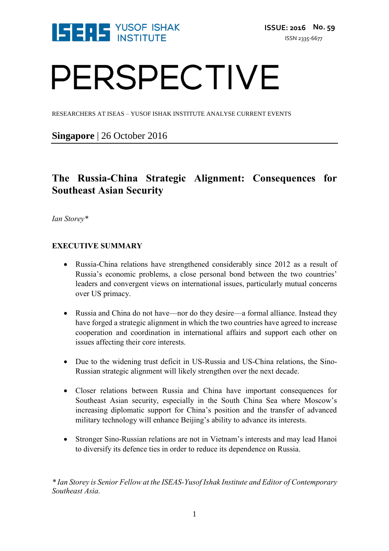

# PERSPECTIVE

RESEARCHERS AT ISEAS – YUSOF ISHAK INSTITUTE ANALYSE CURRENT EVENTS

**Singapore** | 26 October 2016

### **The Russia-China Strategic Alignment: Consequences for Southeast Asian Security**

*Ian Storey\**

#### **EXECUTIVE SUMMARY**

- Russia-China relations have strengthened considerably since 2012 as a result of Russia's economic problems, a close personal bond between the two countries' leaders and convergent views on international issues, particularly mutual concerns over US primacy.
- Russia and China do not have—nor do they desire—a formal alliance. Instead they have forged a strategic alignment in which the two countries have agreed to increase cooperation and coordination in international affairs and support each other on issues affecting their core interests.
- Due to the widening trust deficit in US-Russia and US-China relations, the Sino-Russian strategic alignment will likely strengthen over the next decade.
- Closer relations between Russia and China have important consequences for Southeast Asian security, especially in the South China Sea where Moscow's increasing diplomatic support for China's position and the transfer of advanced military technology will enhance Beijing's ability to advance its interests.
- Stronger Sino-Russian relations are not in Vietnam's interests and may lead Hanoi to diversify its defence ties in order to reduce its dependence on Russia.

*\* Ian Storey is Senior Fellow at the ISEAS-Yusof Ishak Institute and Editor of Contemporary Southeast Asia.*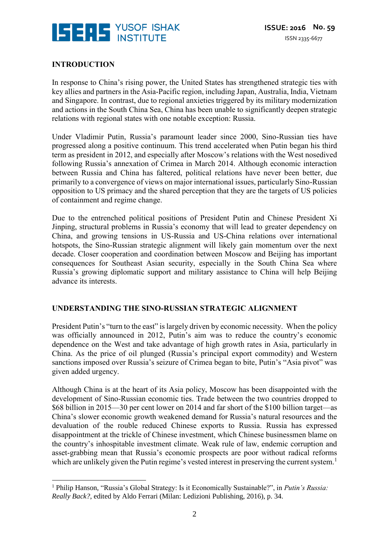

#### **INTRODUCTION**

In response to China's rising power, the United States has strengthened strategic ties with key allies and partners in the Asia-Pacific region, including Japan, Australia, India, Vietnam and Singapore. In contrast, due to regional anxieties triggered by its military modernization and actions in the South China Sea, China has been unable to significantly deepen strategic relations with regional states with one notable exception: Russia.

Under Vladimir Putin, Russia's paramount leader since 2000, Sino-Russian ties have progressed along a positive continuum. This trend accelerated when Putin began his third term as president in 2012, and especially after Moscow's relations with the West nosedived following Russia's annexation of Crimea in March 2014. Although economic interaction between Russia and China has faltered, political relations have never been better, due primarily to a convergence of views on major international issues, particularly Sino-Russian opposition to US primacy and the shared perception that they are the targets of US policies of containment and regime change.

Due to the entrenched political positions of President Putin and Chinese President Xi Jinping, structural problems in Russia's economy that will lead to greater dependency on China, and growing tensions in US-Russia and US-China relations over international hotspots, the Sino-Russian strategic alignment will likely gain momentum over the next decade. Closer cooperation and coordination between Moscow and Beijing has important consequences for Southeast Asian security, especially in the South China Sea where Russia's growing diplomatic support and military assistance to China will help Beijing advance its interests.

#### **UNDERSTANDING THE SINO-RUSSIAN STRATEGIC ALIGNMENT**

President Putin's "turn to the east" is largely driven by economic necessity. When the policy was officially announced in 2012, Putin's aim was to reduce the country's economic dependence on the West and take advantage of high growth rates in Asia, particularly in China. As the price of oil plunged (Russia's principal export commodity) and Western sanctions imposed over Russia's seizure of Crimea began to bite, Putin's "Asia pivot" was given added urgency.

Although China is at the heart of its Asia policy, Moscow has been disappointed with the development of Sino-Russian economic ties. Trade between the two countries dropped to \$68 billion in 2015—30 per cent lower on 2014 and far short of the \$100 billion target—as China's slower economic growth weakened demand for Russia's natural resources and the devaluation of the rouble reduced Chinese exports to Russia. Russia has expressed disappointment at the trickle of Chinese investment, which Chinese businessmen blame on the country's inhospitable investment climate. Weak rule of law, endemic corruption and asset-grabbing mean that Russia's economic prospects are poor without radical reforms which are unlikely given the Putin regime's vested interest in preserving the current system.<sup>1</sup>

<sup>&</sup>lt;u>.</u> <sup>1</sup> Philip Hanson, "Russia's Global Strategy: Is it Economically Sustainable?", in *Putin's Russia: Really Back?*, edited by Aldo Ferrari (Milan: Ledizioni Publishing, 2016), p. 34.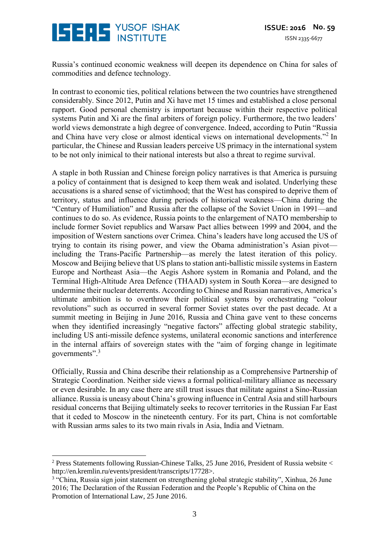## **ISERS** YUSOF ISHAK

Russia's continued economic weakness will deepen its dependence on China for sales of commodities and defence technology.

In contrast to economic ties, political relations between the two countries have strengthened considerably. Since 2012, Putin and Xi have met 15 times and established a close personal rapport. Good personal chemistry is important because within their respective political systems Putin and Xi are the final arbiters of foreign policy. Furthermore, the two leaders' world views demonstrate a high degree of convergence. Indeed, according to Putin "Russia and China have very close or almost identical views on international developments."<sup>2</sup> In particular, the Chinese and Russian leaders perceive US primacy in the international system to be not only inimical to their national interests but also a threat to regime survival.

A staple in both Russian and Chinese foreign policy narratives is that America is pursuing a policy of containment that is designed to keep them weak and isolated. Underlying these accusations is a shared sense of victimhood; that the West has conspired to deprive them of territory, status and influence during periods of historical weakness—China during the "Century of Humiliation" and Russia after the collapse of the Soviet Union in 1991—and continues to do so. As evidence, Russia points to the enlargement of NATO membership to include former Soviet republics and Warsaw Pact allies between 1999 and 2004, and the imposition of Western sanctions over Crimea. China's leaders have long accused the US of trying to contain its rising power, and view the Obama administration's Asian pivot including the Trans-Pacific Partnership—as merely the latest iteration of this policy. Moscow and Beijing believe that US plans to station anti-ballistic missile systems in Eastern Europe and Northeast Asia—the Aegis Ashore system in Romania and Poland, and the Terminal High-Altitude Area Defence (THAAD) system in South Korea—are designed to undermine their nuclear deterrents. According to Chinese and Russian narratives, America's ultimate ambition is to overthrow their political systems by orchestrating "colour revolutions" such as occurred in several former Soviet states over the past decade. At a summit meeting in Beijing in June 2016, Russia and China gave vent to these concerns when they identified increasingly "negative factors" affecting global strategic stability, including US anti-missile defence systems, unilateral economic sanctions and interference in the internal affairs of sovereign states with the "aim of forging change in legitimate governments".<sup>3</sup>

Officially, Russia and China describe their relationship as a Comprehensive Partnership of Strategic Coordination. Neither side views a formal political-military alliance as necessary or even desirable. In any case there are still trust issues that militate against a Sino-Russian alliance. Russia is uneasy about China's growing influence in Central Asia and still harbours residual concerns that Beijing ultimately seeks to recover territories in the Russian Far East that it ceded to Moscow in the nineteenth century. For its part, China is not comfortable with Russian arms sales to its two main rivals in Asia, India and Vietnam.

<u>.</u>

<sup>&</sup>lt;sup>2</sup> Press Statements following Russian-Chinese Talks, 25 June 2016, President of Russia website  $\lt$ http://en.kremlin.ru/events/president/transcripts/17728>.

<sup>&</sup>lt;sup>3</sup> "China, Russia sign joint statement on strengthening global strategic stability", Xinhua, 26 June 2016; The Declaration of the Russian Federation and the People's Republic of China on the Promotion of International Law, 25 June 2016.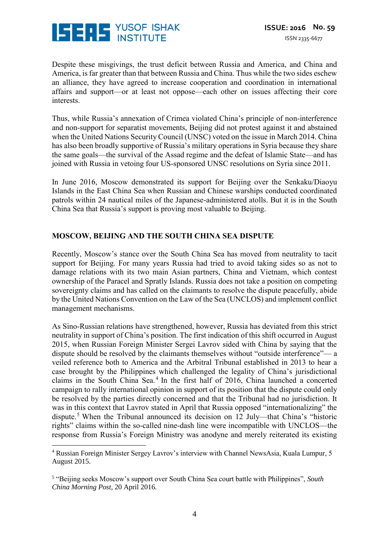

Despite these misgivings, the trust deficit between Russia and America, and China and America, is far greater than that between Russia and China. Thus while the two sides eschew an alliance, they have agreed to increase cooperation and coordination in international affairs and support—or at least not oppose—each other on issues affecting their core interests.

Thus, while Russia's annexation of Crimea violated China's principle of non-interference and non-support for separatist movements, Beijing did not protest against it and abstained when the United Nations Security Council (UNSC) voted on the issue in March 2014. China has also been broadly supportive of Russia's military operations in Syria because they share the same goals—the survival of the Assad regime and the defeat of Islamic State—and has joined with Russia in vetoing four US-sponsored UNSC resolutions on Syria since 2011.

In June 2016, Moscow demonstrated its support for Beijing over the Senkaku/Diaoyu Islands in the East China Sea when Russian and Chinese warships conducted coordinated patrols within 24 nautical miles of the Japanese-administered atolls. But it is in the South China Sea that Russia's support is proving most valuable to Beijing.

#### **MOSCOW, BEIJING AND THE SOUTH CHINA SEA DISPUTE**

Recently, Moscow's stance over the South China Sea has moved from neutrality to tacit support for Beijing. For many years Russia had tried to avoid taking sides so as not to damage relations with its two main Asian partners, China and Vietnam, which contest ownership of the Paracel and Spratly Islands. Russia does not take a position on competing sovereignty claims and has called on the claimants to resolve the dispute peacefully, abide by the United Nations Convention on the Law of the Sea (UNCLOS) and implement conflict management mechanisms.

As Sino-Russian relations have strengthened, however, Russia has deviated from this strict neutrality in support of China's position. The first indication of this shift occurred in August 2015, when Russian Foreign Minister Sergei Lavrov sided with China by saying that the dispute should be resolved by the claimants themselves without "outside interference"— a veiled reference both to America and the Arbitral Tribunal established in 2013 to hear a case brought by the Philippines which challenged the legality of China's jurisdictional claims in the South China Sea. $4$  In the first half of 2016, China launched a concerted campaign to rally international opinion in support of its position that the dispute could only be resolved by the parties directly concerned and that the Tribunal had no jurisdiction. It was in this context that Lavrov stated in April that Russia opposed "internationalizing" the dispute.<sup>5</sup> When the Tribunal announced its decision on 12 July—that China's "historic rights" claims within the so-called nine-dash line were incompatible with UNCLOS—the response from Russia's Foreign Ministry was anodyne and merely reiterated its existing

<sup>&</sup>lt;u>.</u> <sup>4</sup> Russian Foreign Minister Sergey Lavrov's interview with Channel NewsAsia, Kuala Lumpur, 5 August 2015.

<sup>5</sup> "Beijing seeks Moscow's support over South China Sea court battle with Philippines", *South China Morning Post*, 20 April 2016.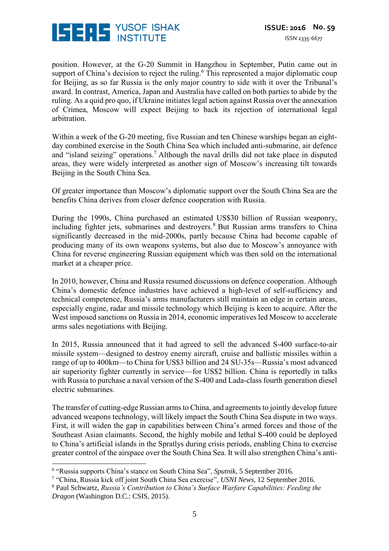

position. However, at the G-20 Summit in Hangzhou in September, Putin came out in support of China's decision to reject the ruling.<sup>6</sup> This represented a major diplomatic coup for Beijing, as so far Russia is the only major country to side with it over the Tribunal's award. In contrast, America, Japan and Australia have called on both parties to abide by the ruling. As a quid pro quo, if Ukraine initiates legal action against Russia over the annexation of Crimea, Moscow will expect Beijing to back its rejection of international legal arbitration.

Within a week of the G-20 meeting, five Russian and ten Chinese warships began an eightday combined exercise in the South China Sea which included anti-submarine, air defence and "island seizing" operations.<sup>7</sup> Although the naval drills did not take place in disputed areas, they were widely interpreted as another sign of Moscow's increasing tilt towards Beijing in the South China Sea.

Of greater importance than Moscow's diplomatic support over the South China Sea are the benefits China derives from closer defence cooperation with Russia.

During the 1990s, China purchased an estimated US\$30 billion of Russian weaponry, including fighter jets, submarines and destroyers.<sup>8</sup> But Russian arms transfers to China significantly decreased in the mid-2000s, partly because China had become capable of producing many of its own weapons systems, but also due to Moscow's annoyance with China for reverse engineering Russian equipment which was then sold on the international market at a cheaper price.

In 2010, however, China and Russia resumed discussions on defence cooperation. Although China's domestic defence industries have achieved a high-level of self-sufficiency and technical competence, Russia's arms manufacturers still maintain an edge in certain areas, especially engine, radar and missile technology which Beijing is keen to acquire. After the West imposed sanctions on Russia in 2014, economic imperatives led Moscow to accelerate arms sales negotiations with Beijing.

In 2015, Russia announced that it had agreed to sell the advanced S-400 surface-to-air missile system—designed to destroy enemy aircraft, cruise and ballistic missiles within a range of up to 400km—to China for US\$3 billion and 24 SU-35s—Russia's most advanced air superiority fighter currently in service—for US\$2 billion. China is reportedly in talks with Russia to purchase a naval version of the S-400 and Lada-class fourth generation diesel electric submarines.

The transfer of cutting-edge Russian arms to China, and agreements to jointly develop future advanced weapons technology, will likely impact the South China Sea dispute in two ways. First, it will widen the gap in capabilities between China's armed forces and those of the Southeast Asian claimants. Second, the highly mobile and lethal S-400 could be deployed to China's artificial islands in the Spratlys during crisis periods, enabling China to exercise greater control of the airspace over the South China Sea. It will also strengthen China's anti-

<u>.</u>

<sup>6</sup> "Russia supports China's stance on South China Sea", *Sputnik*, 5 September 2016.

<sup>7</sup> "China, Russia kick off joint South China Sea exercise", *USNI News*, 12 September 2016.

<sup>8</sup> Paul Schwartz, *Russia's Contribution to China's Surface Warfare Capabilities: Feeding the Dragon* (Washington D.C.: CSIS, 2015).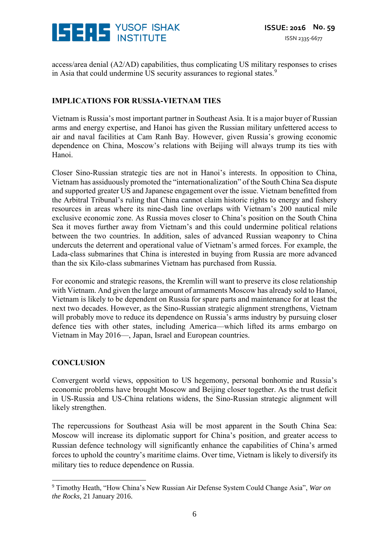

access/area denial (A2/AD) capabilities, thus complicating US military responses to crises in Asia that could undermine US security assurances to regional states.<sup>9</sup>

#### **IMPLICATIONS FOR RUSSIA-VIETNAM TIES**

Vietnam is Russia's most important partner in Southeast Asia. It is a major buyer of Russian arms and energy expertise, and Hanoi has given the Russian military unfettered access to air and naval facilities at Cam Ranh Bay. However, given Russia's growing economic dependence on China, Moscow's relations with Beijing will always trump its ties with Hanoi.

Closer Sino-Russian strategic ties are not in Hanoi's interests. In opposition to China, Vietnam has assiduously promoted the "internationalization" of the South China Sea dispute and supported greater US and Japanese engagement over the issue. Vietnam benefitted from the Arbitral Tribunal's ruling that China cannot claim historic rights to energy and fishery resources in areas where its nine-dash line overlaps with Vietnam's 200 nautical mile exclusive economic zone. As Russia moves closer to China's position on the South China Sea it moves further away from Vietnam's and this could undermine political relations between the two countries. In addition, sales of advanced Russian weaponry to China undercuts the deterrent and operational value of Vietnam's armed forces. For example, the Lada-class submarines that China is interested in buying from Russia are more advanced than the six Kilo-class submarines Vietnam has purchased from Russia.

For economic and strategic reasons, the Kremlin will want to preserve its close relationship with Vietnam. And given the large amount of armaments Moscow has already sold to Hanoi, Vietnam is likely to be dependent on Russia for spare parts and maintenance for at least the next two decades. However, as the Sino-Russian strategic alignment strengthens, Vietnam will probably move to reduce its dependence on Russia's arms industry by pursuing closer defence ties with other states, including America—which lifted its arms embargo on Vietnam in May 2016—, Japan, Israel and European countries.

#### **CONCLUSION**

Convergent world views, opposition to US hegemony, personal bonhomie and Russia's economic problems have brought Moscow and Beijing closer together. As the trust deficit in US-Russia and US-China relations widens, the Sino-Russian strategic alignment will likely strengthen.

The repercussions for Southeast Asia will be most apparent in the South China Sea: Moscow will increase its diplomatic support for China's position, and greater access to Russian defence technology will significantly enhance the capabilities of China's armed forces to uphold the country's maritime claims. Over time, Vietnam is likely to diversify its military ties to reduce dependence on Russia.

<sup>&</sup>lt;u>.</u> <sup>9</sup> Timothy Heath, "How China's New Russian Air Defense System Could Change Asia", *War on the Rocks*, 21 January 2016.